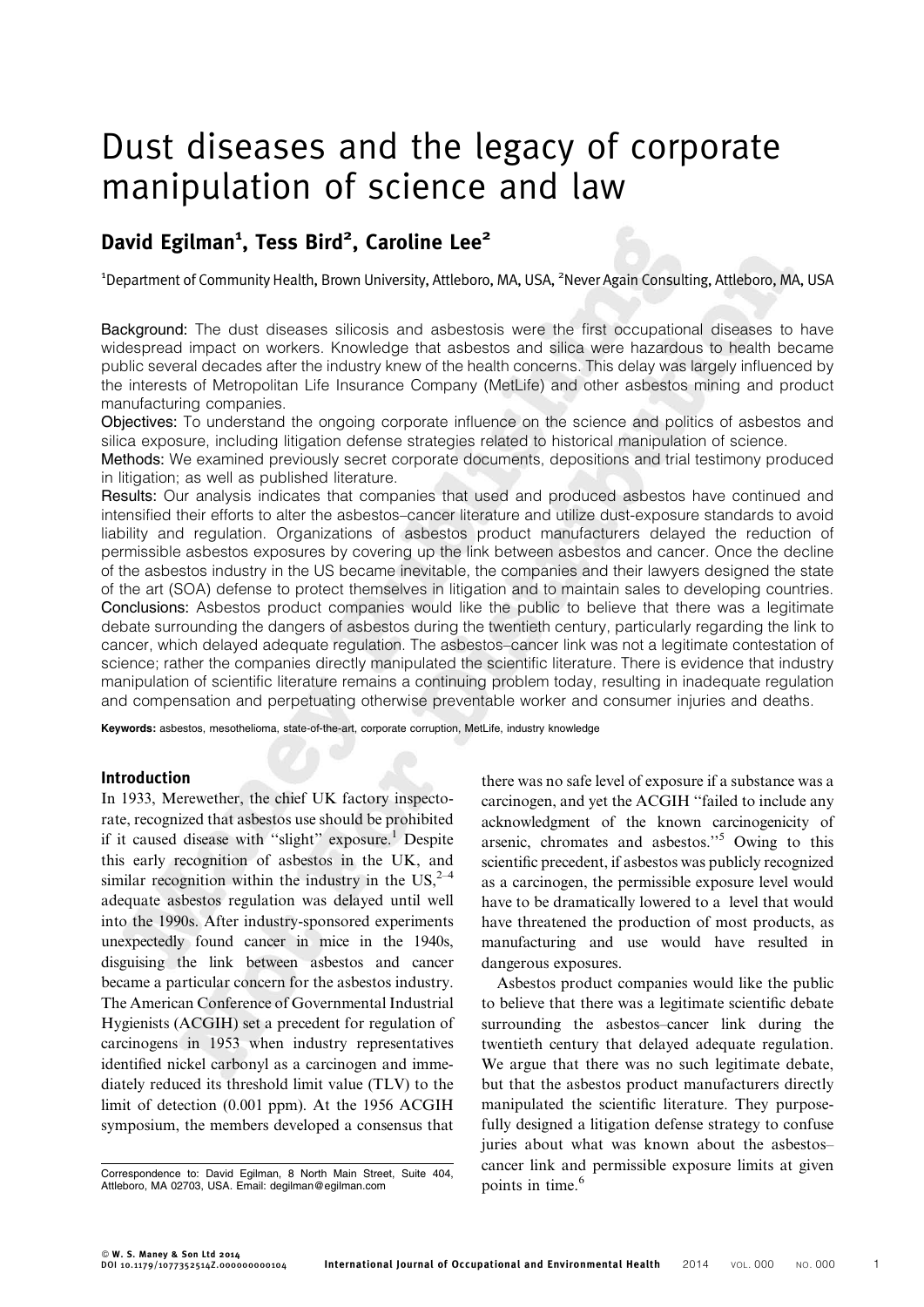# Dust diseases and the legacy of corporate manipulation of science and law

# David Egilman<sup>1</sup>, Tess Bird<sup>2</sup>, Caroline Lee<sup>2</sup>

<sup>1</sup>Department of Community Health, Brown University, Attleboro, MA, USA, <sup>2</sup>Never Again Consulting, Attleboro, MA, USA

Background: The dust diseases silicosis and asbestosis were the first occupational diseases to have widespread impact on workers. Knowledge that asbestos and silica were hazardous to health became public several decades after the industry knew of the health concerns. This delay was largely influenced by the interests of Metropolitan Life Insurance Company (MetLife) and other asbestos mining and product manufacturing companies.

Objectives: To understand the ongoing corporate influence on the science and politics of asbestos and silica exposure, including litigation defense strategies related to historical manipulation of science.

Methods: We examined previously secret corporate documents, depositions and trial testimony produced in litigation; as well as published literature.

Results: Our analysis indicates that companies that used and produced asbestos have continued and intensified their efforts to alter the asbestos–cancer literature and utilize dust-exposure standards to avoid liability and regulation. Organizations of asbestos product manufacturers delayed the reduction of permissible asbestos exposures by covering up the link between asbestos and cancer. Once the decline of the asbestos industry in the US became inevitable, the companies and their lawyers designed the state of the art (SOA) defense to protect themselves in litigation and to maintain sales to developing countries. Conclusions: Asbestos product companies would like the public to believe that there was a legitimate debate surrounding the dangers of asbestos during the twentieth century, particularly regarding the link to cancer, which delayed adequate regulation. The asbestos–cancer link was not a legitimate contestation of science; rather the companies directly manipulated the scientific literature. There is evidence that industry manipulation of scientific literature remains a continuing problem today, resulting in inadequate regulation and compensation and perpetuating otherwise preventable worker and consumer injuries and deaths.

Keywords: asbestos, mesothelioma, state-of-the-art, corporate corruption, MetLife, industry knowledge

### Introduction

In 1933, Merewether, the chief UK factory inspectorate, recognized that asbestos use should be prohibited if it caused disease with "slight" exposure.<sup>1</sup> Despite this early recognition of asbestos in the UK, and similar recognition within the industry in the  $US<sub>1</sub><sup>2-4</sup>$ adequate asbestos regulation was delayed until well into the 1990s. After industry-sponsored experiments unexpectedly found cancer in mice in the 1940s, disguising the link between asbestos and cancer became a particular concern for the asbestos industry. The American Conference of Governmental Industrial Hygienists (ACGIH) set a precedent for regulation of carcinogens in 1953 when industry representatives identified nickel carbonyl as a carcinogen and immediately reduced its threshold limit value (TLV) to the limit of detection (0.001 ppm). At the 1956 ACGIH symposium, the members developed a consensus that there was no safe level of exposure if a substance was a carcinogen, and yet the ACGIH ''failed to include any acknowledgment of the known carcinogenicity of arsenic, chromates and asbestos.''5 Owing to this scientific precedent, if asbestos was publicly recognized as a carcinogen, the permissible exposure level would have to be dramatically lowered to a level that would have threatened the production of most products, as manufacturing and use would have resulted in dangerous exposures.

Asbestos product companies would like the public to believe that there was a legitimate scientific debate surrounding the asbestos–cancer link during the twentieth century that delayed adequate regulation. We argue that there was no such legitimate debate, but that the asbestos product manufacturers directly manipulated the scientific literature. They purposefully designed a litigation defense strategy to confuse juries about what was known about the asbestos– cancer link and permissible exposure limits at given

Correspondence to: David Egilman, 8 North Main Street, Suite 404,<br>Attleboro. MA 02703. USA. Email: degilman@egilman.com boints in time. <sup>6</sup> Attleboro, MA 02703, USA. Email: degilman@egilman.com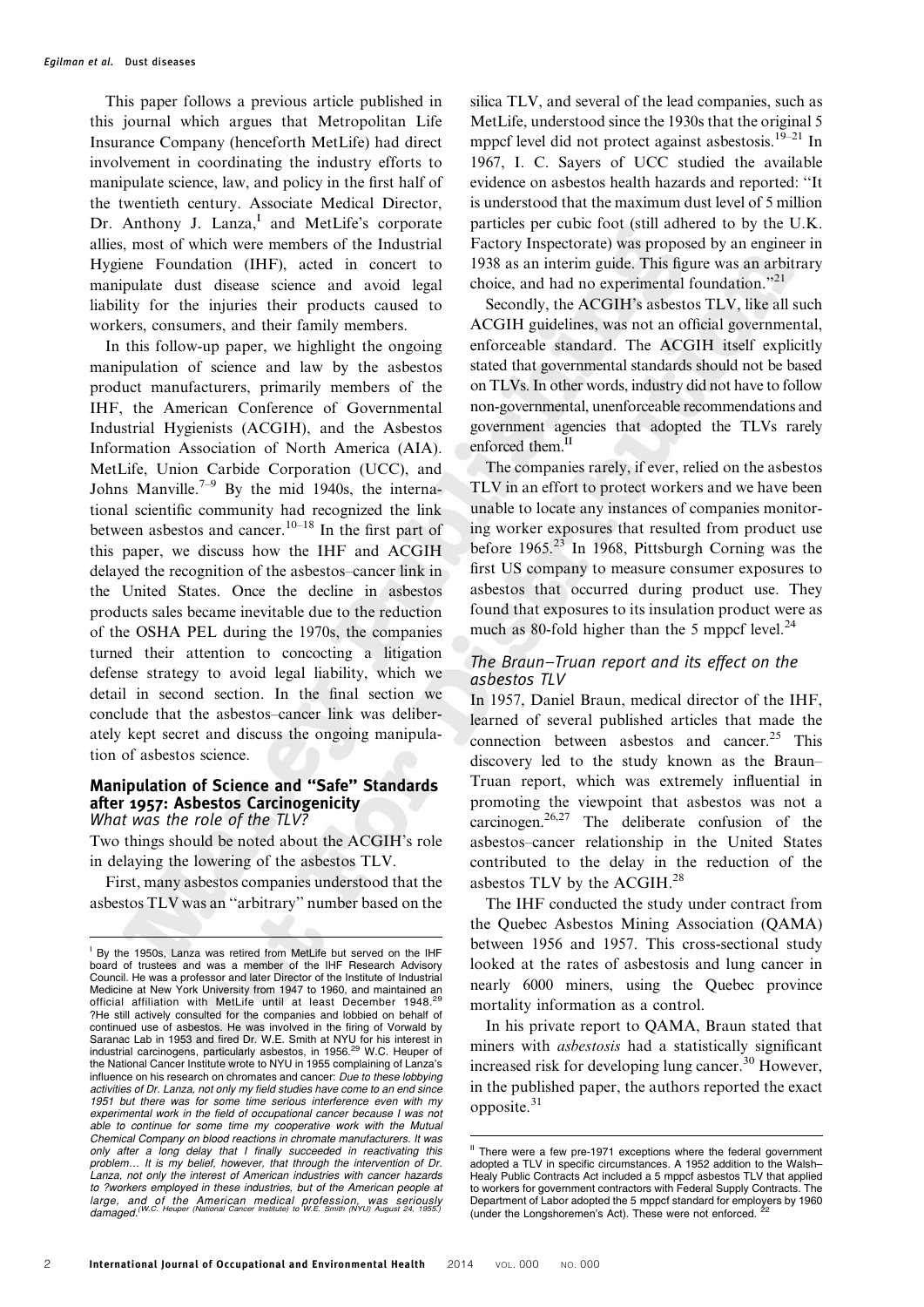This paper follows a previous article published in this journal which argues that Metropolitan Life Insurance Company (henceforth MetLife) had direct involvement in coordinating the industry efforts to manipulate science, law, and policy in the first half of the twentieth century. Associate Medical Director, Dr. Anthony J. Lanza,<sup>I</sup> and MetLife's corporate allies, most of which were members of the Industrial Hygiene Foundation (IHF), acted in concert to manipulate dust disease science and avoid legal liability for the injuries their products caused to workers, consumers, and their family members.

In this follow-up paper, we highlight the ongoing manipulation of science and law by the asbestos product manufacturers, primarily members of the IHF, the American Conference of Governmental Industrial Hygienists (ACGIH), and the Asbestos Information Association of North America (AIA). MetLife, Union Carbide Corporation (UCC), and Johns Manville.<sup>7–9</sup> By the mid 1940s, the international scientific community had recognized the link between asbestos and cancer.<sup>10–18</sup> In the first part of this paper, we discuss how the IHF and ACGIH delayed the recognition of the asbestos–cancer link in the United States. Once the decline in asbestos products sales became inevitable due to the reduction of the OSHA PEL during the 1970s, the companies turned their attention to concocting a litigation defense strategy to avoid legal liability, which we detail in second section. In the final section we conclude that the asbestos–cancer link was deliberately kept secret and discuss the ongoing manipulation of asbestos science.

#### Manipulation of Science and ''Safe'' Standards after 1957: Asbestos Carcinogenicity What was the role of the TLV?

Two things should be noted about the ACGIH's role in delaying the lowering of the asbestos TLV.

First, many asbestos companies understood that the asbestos TLV was an ''arbitrary'' number based on the

silica TLV, and several of the lead companies, such as MetLife, understood since the 1930s that the original 5 mppcf level did not protect against asbestosis.<sup>19–21</sup> In 1967, I. C. Sayers of UCC studied the available evidence on asbestos health hazards and reported: ''It is understood that the maximum dust level of 5 million particles per cubic foot (still adhered to by the U.K. Factory Inspectorate) was proposed by an engineer in 1938 as an interim guide. This figure was an arbitrary choice, and had no experimental foundation."<sup>21</sup>

Secondly, the ACGIH's asbestos TLV, like all such ACGIH guidelines, was not an official governmental, enforceable standard. The ACGIH itself explicitly stated that governmental standards should not be based on TLVs. In other words, industry did not have to follow non-governmental, unenforceable recommendations and government agencies that adopted the TLVs rarely enforced them.<sup>II</sup>

The companies rarely, if ever, relied on the asbestos TLV in an effort to protect workers and we have been unable to locate any instances of companies monitoring worker exposures that resulted from product use before 1965.<sup>23</sup> In 1968, Pittsburgh Corning was the first US company to measure consumer exposures to asbestos that occurred during product use. They found that exposures to its insulation product were as much as 80-fold higher than the 5 mppcf level. $^{24}$ 

## The Braun–Truan report and its effect on the asbestos TLV

In 1957, Daniel Braun, medical director of the IHF, learned of several published articles that made the connection between asbestos and cancer.<sup>25</sup> This discovery led to the study known as the Braun– Truan report, which was extremely influential in promoting the viewpoint that asbestos was not a carcinogen.26,27 The deliberate confusion of the asbestos–cancer relationship in the United States contributed to the delay in the reduction of the asbestos TLV by the ACGIH.<sup>28</sup>

The IHF conducted the study under contract from the Quebec Asbestos Mining Association (QAMA) between 1956 and 1957. This cross-sectional study looked at the rates of asbestosis and lung cancer in nearly 6000 miners, using the Quebec province mortality information as a control.

In his private report to QAMA, Braun stated that miners with asbestosis had a statistically significant increased risk for developing lung cancer.<sup>30</sup> However, in the published paper, the authors reported the exact opposite. $31$ 

<sup>&</sup>lt;sup>1</sup> By the 1950s, Lanza was retired from MetLife but served on the IHF board of trustees and was a member of the IHF Research Advisory Council. He was a professor and later Director of the Institute of Industrial Medicine at New York University from 1947 to 1960, and maintained an official affiliation with MetLife until at least December 1948.<sup>29</sup> ?He still actively consulted for the companies and lobbied on behalf of continued use of asbestos. He was involved in the firing of Vorwald by Saranac Lab in 1953 and fired Dr. W.E. Smith at NYU for his interest in<br>industrial carcinogens, particularly asbestos, in 1956.<sup>29</sup> W.C. Heuper of the National Cancer Institute wrote to NYU in 1955 complaining of Lanza's influence on his research on chromates and cancer: Due to these lobbying activities of Dr. Lanza, not only my field studies have come to an end since 1951 but there was for some time serious interference even with my experimental work in the field of occupational cancer because I was not able to continue for some time my cooperative work with the Mutual Chemical Company on blood reactions in chromate manufacturers. It was only after a long delay that I finally succeeded in reactivating this problem… It is my belief, however, that through the intervention of Dr. Lanza, not only the interest of American industries with cancer hazards to ?workers employed in these industries, but of the American people at large, and of the American medical profession, was seriously<br>damaged.<sup>(W.C. Heuper (National Cancer Institute) to W.E. Smith (NYU) August 24, 1955.)</sup>

<sup>&</sup>lt;sup>II</sup> There were a few pre-1971 exceptions where the federal government adopted a TLV in specific circumstances. A 1952 addition to the Walsh– Healy Public Contracts Act included a 5 mppcf asbestos TLV that applied to workers for government contractors with Federal Supply Contracts. The Department of Labor adopted the 5 mppcf standard for employers by 1960 (under the Longshoremen's Act). These were not enforced.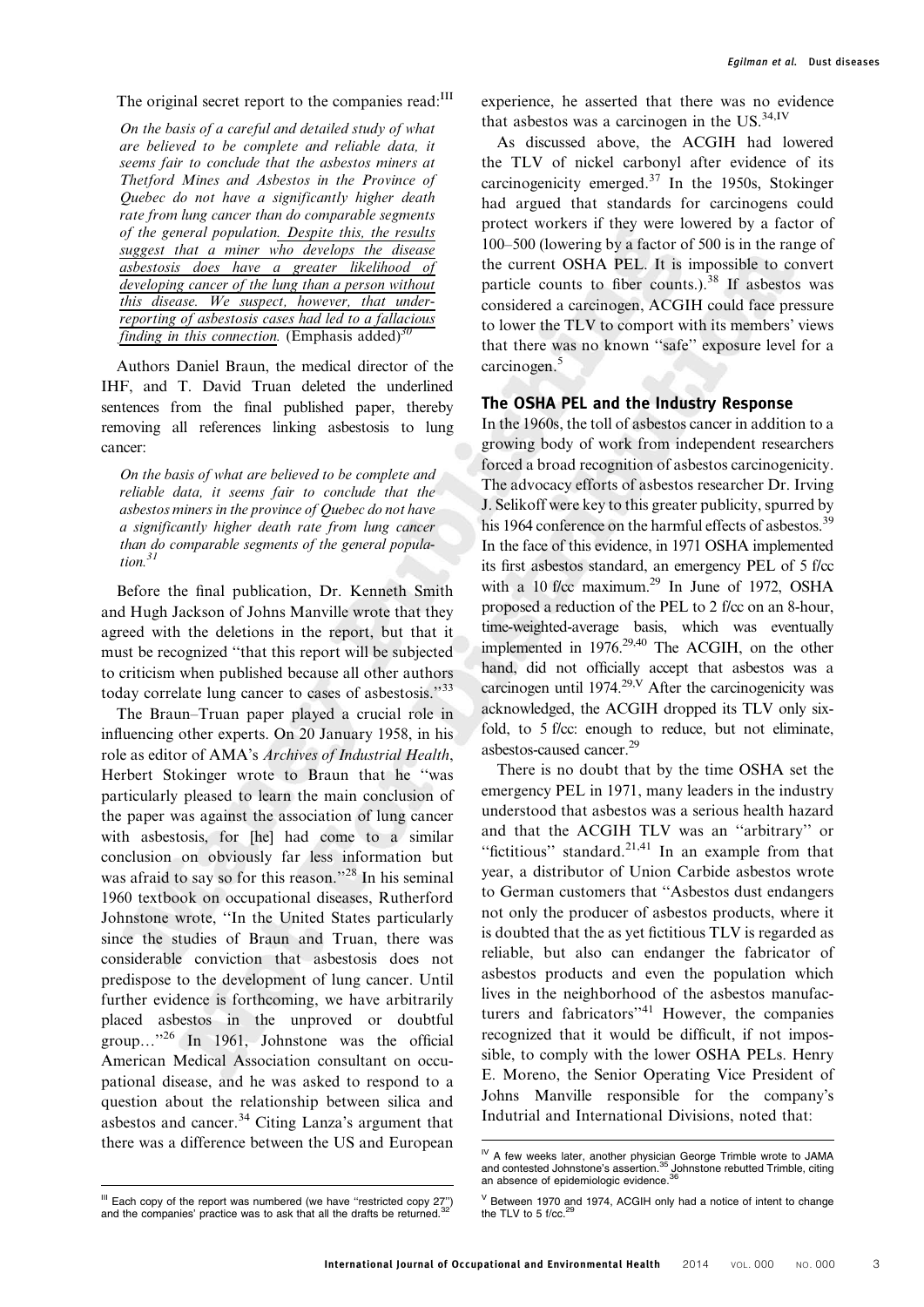The original secret report to the companies read:<sup>III</sup>

On the basis of a careful and detailed study of what are believed to be complete and reliable data, it seems fair to conclude that the asbestos miners at Thetford Mines and Asbestos in the Province of Quebec do not have a significantly higher death rate from lung cancer than do comparable segments of the general population. Despite this, the results suggest that a miner who develops the disease asbestosis does have a greater likelihood of developing cancer of the lung than a person without this disease. We suspect, however, that underreporting of asbestosis cases had led to a fallacious finding in this connection. (Emphasis added) $30$ 

Authors Daniel Braun, the medical director of the IHF, and T. David Truan deleted the underlined sentences from the final published paper, thereby removing all references linking asbestosis to lung cancer:

On the basis of what are believed to be complete and reliable data, it seems fair to conclude that the asbestos miners in the province of Quebec do not have a significantly higher death rate from lung cancer than do comparable segments of the general population.<sup>31</sup>

Before the final publication, Dr. Kenneth Smith and Hugh Jackson of Johns Manville wrote that they agreed with the deletions in the report, but that it must be recognized ''that this report will be subjected to criticism when published because all other authors today correlate lung cancer to cases of asbestosis.''<sup>33</sup>

The Braun–Truan paper played a crucial role in influencing other experts. On 20 January 1958, in his role as editor of AMA's Archives of Industrial Health, Herbert Stokinger wrote to Braun that he ''was particularly pleased to learn the main conclusion of the paper was against the association of lung cancer with asbestosis, for [he] had come to a similar conclusion on obviously far less information but was afraid to say so for this reason."<sup>28</sup> In his seminal 1960 textbook on occupational diseases, Rutherford Johnstone wrote, ''In the United States particularly since the studies of Braun and Truan, there was considerable conviction that asbestosis does not predispose to the development of lung cancer. Until further evidence is forthcoming, we have arbitrarily placed asbestos in the unproved or doubtful group…''26 In 1961, Johnstone was the official American Medical Association consultant on occupational disease, and he was asked to respond to a question about the relationship between silica and asbestos and cancer.<sup>34</sup> Citing Lanza's argument that there was a difference between the US and European

experience, he asserted that there was no evidence that asbestos was a carcinogen in the  $US.<sup>34,IV</sup>$ 

As discussed above, the ACGIH had lowered the TLV of nickel carbonyl after evidence of its carcinogenicity emerged. $37$  In the 1950s, Stokinger had argued that standards for carcinogens could protect workers if they were lowered by a factor of 100–500 (lowering by a factor of 500 is in the range of the current OSHA PEL. It is impossible to convert particle counts to fiber counts.).<sup>38</sup> If asbestos was considered a carcinogen, ACGIH could face pressure to lower the TLV to comport with its members' views that there was no known ''safe'' exposure level for a carcinogen.<sup>5</sup>

#### The OSHA PEL and the Industry Response

In the 1960s, the toll of asbestos cancer in addition to a growing body of work from independent researchers forced a broad recognition of asbestos carcinogenicity. The advocacy efforts of asbestos researcher Dr. Irving J. Selikoff were key to this greater publicity, spurred by his 1964 conference on the harmful effects of asbestos.<sup>39</sup> In the face of this evidence, in 1971 OSHA implemented its first asbestos standard, an emergency PEL of 5 f/cc with a 10 f/cc maximum.<sup>29</sup> In June of 1972, OSHA proposed a reduction of the PEL to 2 f/cc on an 8-hour, time-weighted-average basis, which was eventually implemented in  $1976.<sup>29,40</sup>$  The ACGIH, on the other hand, did not officially accept that asbestos was a carcinogen until  $1974$ <sup>29,V</sup> After the carcinogenicity was acknowledged, the ACGIH dropped its TLV only sixfold, to 5 f/cc: enough to reduce, but not eliminate, asbestos-caused cancer.29

There is no doubt that by the time OSHA set the emergency PEL in 1971, many leaders in the industry understood that asbestos was a serious health hazard and that the ACGIH TLV was an ''arbitrary'' or "fictitious" standard. $2^{1,41}$  In an example from that year, a distributor of Union Carbide asbestos wrote to German customers that ''Asbestos dust endangers not only the producer of asbestos products, where it is doubted that the as yet fictitious TLV is regarded as reliable, but also can endanger the fabricator of asbestos products and even the population which lives in the neighborhood of the asbestos manufacturers and fabricators<sup>",41</sup> However, the companies recognized that it would be difficult, if not impossible, to comply with the lower OSHA PELs. Henry E. Moreno, the Senior Operating Vice President of Johns Manville responsible for the company's Indutrial and International Divisions, noted that:

IV A few weeks later, another physician George Trimble wrote to JAMA and contested Johnstone's assertion.<sup>35</sup> Johnstone rebutted Trimble, citing an absence of epidemiologic evidence.<sup>36</sup>

<sup>&</sup>lt;sup>III</sup> Each copy of the report was numbered (we have "restricted copy 27") and the companies' practice was to ask that all the drafts be returned.<sup>32</sup>

 $V$  Between 1970 and 1974, ACGIH only had a notice of intent to change the TLV to 5  $f$ /cc.<sup>2</sup>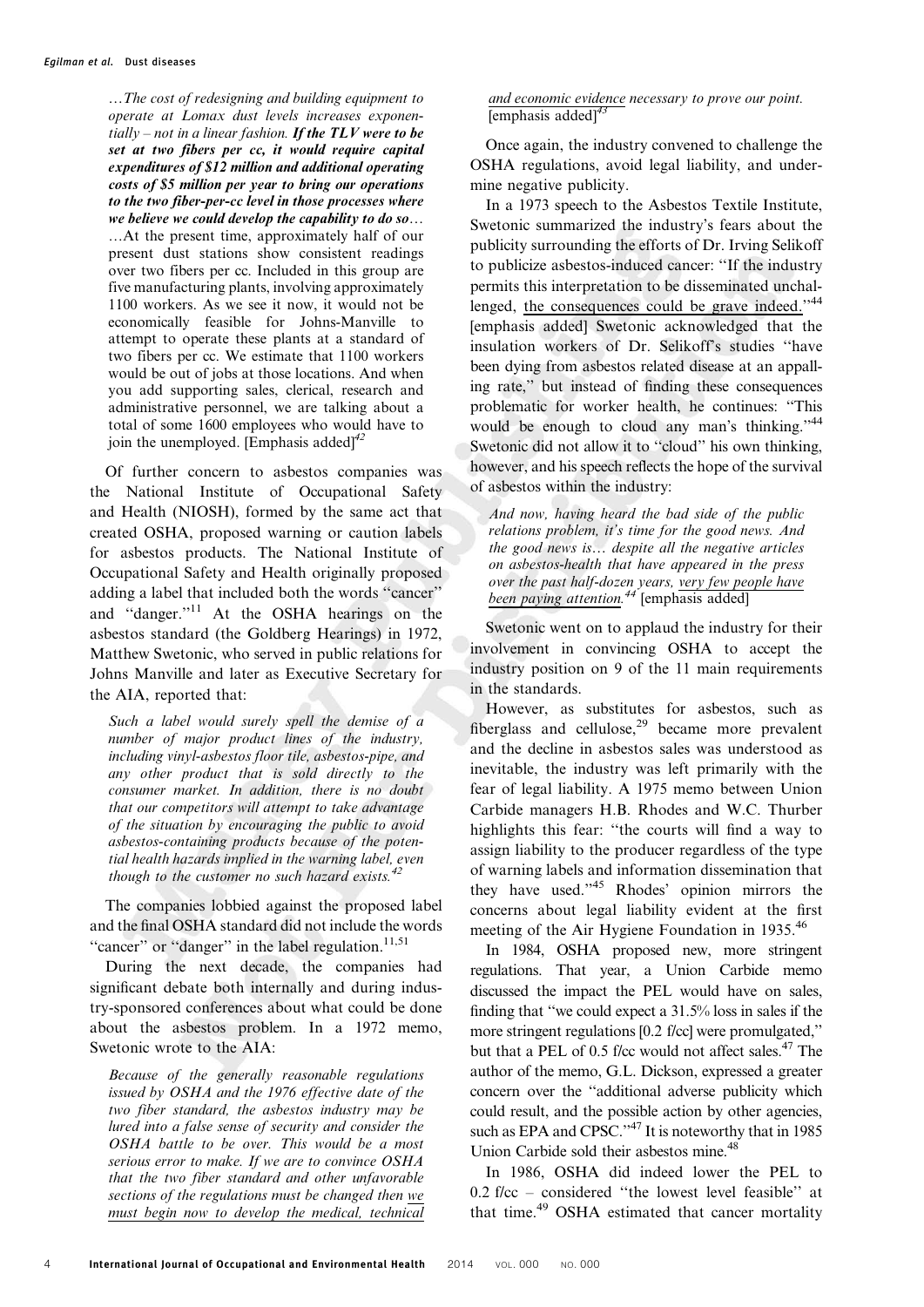…The cost of redesigning and building equipment to operate at Lomax dust levels increases exponentially – not in a linear fashion. If the  $TLV$  were to be set at two fibers per cc, it would require capital expenditures of \$12 million and additional operating costs of \$5 million per year to bring our operations to the two fiber-per-cc level in those processes where we believe we could develop the capability to do so... …At the present time, approximately half of our present dust stations show consistent readings over two fibers per cc. Included in this group are five manufacturing plants, involving approximately 1100 workers. As we see it now, it would not be economically feasible for Johns-Manville to attempt to operate these plants at a standard of two fibers per cc. We estimate that 1100 workers would be out of jobs at those locations. And when you add supporting sales, clerical, research and administrative personnel, we are talking about a total of some 1600 employees who would have to join the unemployed. [Emphasis added] $^{42}$ 

Of further concern to asbestos companies was the National Institute of Occupational Safety and Health (NIOSH), formed by the same act that created OSHA, proposed warning or caution labels for asbestos products. The National Institute of Occupational Safety and Health originally proposed adding a label that included both the words ''cancer'' and "danger."<sup>11</sup> At the OSHA hearings on the asbestos standard (the Goldberg Hearings) in 1972, Matthew Swetonic, who served in public relations for Johns Manville and later as Executive Secretary for the AIA, reported that:

Such a label would surely spell the demise of a number of major product lines of the industry, including vinyl-asbestos floor tile, asbestos-pipe, and any other product that is sold directly to the consumer market. In addition, there is no doubt that our competitors will attempt to take advantage of the situation by encouraging the public to avoid asbestos-containing products because of the potential health hazards implied in the warning label, even though to the customer no such hazard exists. $42$ 

The companies lobbied against the proposed label and the final OSHA standard did not include the words "cancer" or "danger" in the label regulation. $11,51$ 

During the next decade, the companies had significant debate both internally and during industry-sponsored conferences about what could be done about the asbestos problem. In a 1972 memo, Swetonic wrote to the AIA:

Because of the generally reasonable regulations issued by OSHA and the 1976 effective date of the two fiber standard, the asbestos industry may be lured into a false sense of security and consider the OSHA battle to be over. This would be a most serious error to make. If we are to convince OSHA that the two fiber standard and other unfavorable sections of the regulations must be changed then we must begin now to develop the medical, technical

and economic evidence necessary to prove our point.  $[$ emphasis added $]^{43}$ 

Once again, the industry convened to challenge the OSHA regulations, avoid legal liability, and undermine negative publicity.

In a 1973 speech to the Asbestos Textile Institute, Swetonic summarized the industry's fears about the publicity surrounding the efforts of Dr. Irving Selikoff to publicize asbestos-induced cancer: ''If the industry permits this interpretation to be disseminated unchallenged, the consequences could be grave indeed."<sup>44</sup> [emphasis added] Swetonic acknowledged that the insulation workers of Dr. Selikoff's studies ''have been dying from asbestos related disease at an appalling rate,'' but instead of finding these consequences problematic for worker health, he continues: ''This would be enough to cloud any man's thinking."<sup>44</sup> Swetonic did not allow it to ''cloud'' his own thinking, however, and his speech reflects the hope of the survival of asbestos within the industry:

And now, having heard the bad side of the public relations problem, it's time for the good news. And the good news is… despite all the negative articles on asbestos-health that have appeared in the press over the past half-dozen years, very few people have been paying attention.<sup>44</sup> [emphasis added]

Swetonic went on to applaud the industry for their involvement in convincing OSHA to accept the industry position on 9 of the 11 main requirements in the standards.

However, as substitutes for asbestos, such as fiberglass and cellulose, $29$  became more prevalent and the decline in asbestos sales was understood as inevitable, the industry was left primarily with the fear of legal liability. A 1975 memo between Union Carbide managers H.B. Rhodes and W.C. Thurber highlights this fear: ''the courts will find a way to assign liability to the producer regardless of the type of warning labels and information dissemination that they have used."<sup>45</sup> Rhodes' opinion mirrors the concerns about legal liability evident at the first meeting of the Air Hygiene Foundation in 1935.<sup>46</sup>

In 1984, OSHA proposed new, more stringent regulations. That year, a Union Carbide memo discussed the impact the PEL would have on sales, finding that ''we could expect a 31.5% loss in sales if the more stringent regulations [0.2 f/cc] were promulgated,'' but that a PEL of 0.5 f/cc would not affect sales.<sup>47</sup> The author of the memo, G.L. Dickson, expressed a greater concern over the ''additional adverse publicity which could result, and the possible action by other agencies, such as EPA and CPSC."<sup>47</sup> It is noteworthy that in 1985 Union Carbide sold their asbestos mine.<sup>48</sup>

In 1986, OSHA did indeed lower the PEL to 0.2 f/cc – considered ''the lowest level feasible'' at that time.<sup>49</sup> OSHA estimated that cancer mortality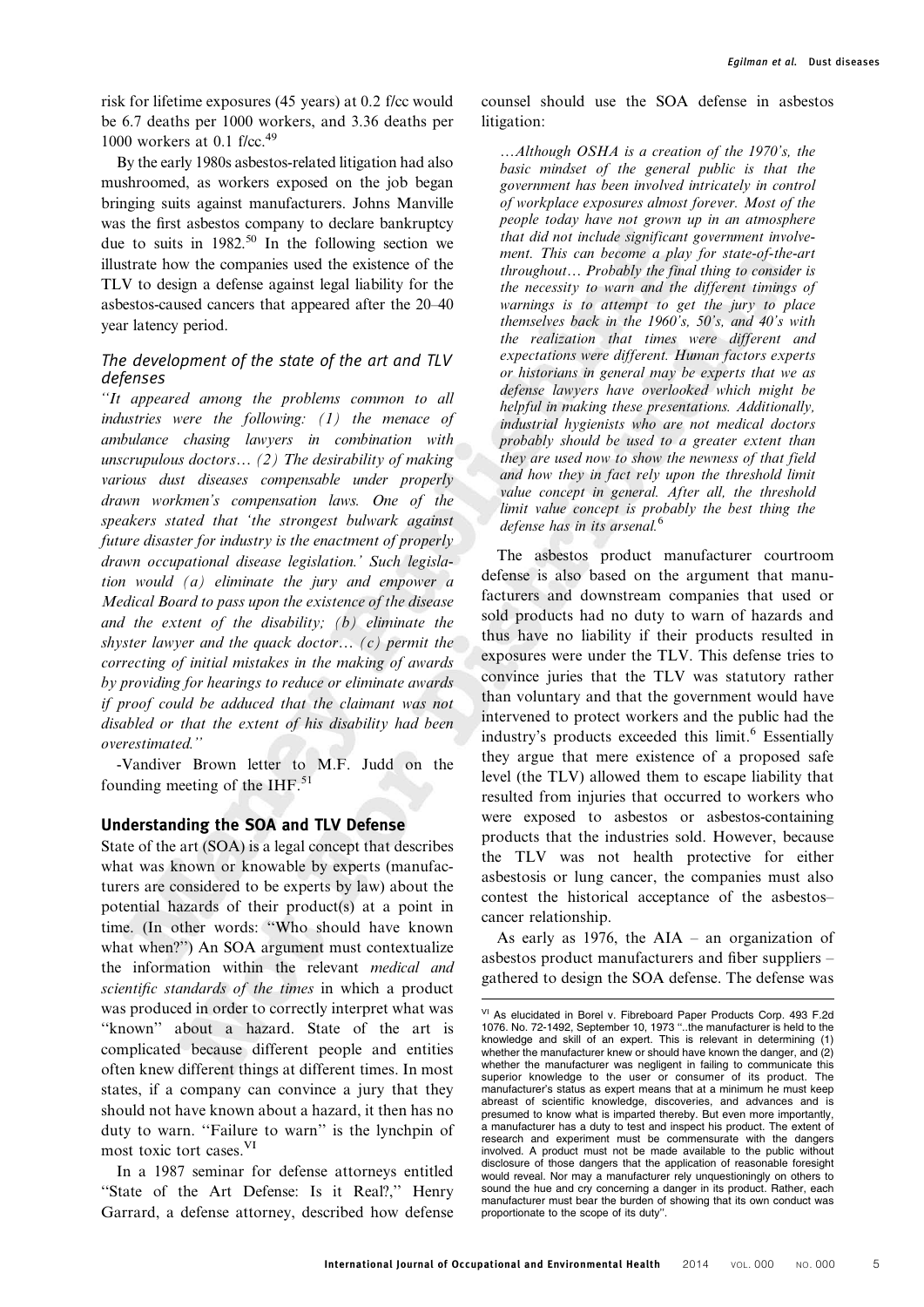risk for lifetime exposures (45 years) at 0.2 f/cc would be 6.7 deaths per 1000 workers, and 3.36 deaths per 1000 workers at 0.1 f/cc.<sup>49</sup>

By the early 1980s asbestos-related litigation had also mushroomed, as workers exposed on the job began bringing suits against manufacturers. Johns Manville was the first asbestos company to declare bankruptcy due to suits in  $1982$ <sup>50</sup> In the following section we illustrate how the companies used the existence of the TLV to design a defense against legal liability for the asbestos-caused cancers that appeared after the 20–40 year latency period.

#### The development of the state of the art and TLV defenses

''It appeared among the problems common to all industries were the following: (1) the menace of ambulance chasing lawyers in combination with unscrupulous doctors… (2) The desirability of making various dust diseases compensable under properly drawn workmen's compensation laws. One of the speakers stated that 'the strongest bulwark against future disaster for industry is the enactment of properly drawn occupational disease legislation.' Such legislation would (a) eliminate the jury and empower a Medical Board to pass upon the existence of the disease and the extent of the disability; (b) eliminate the shyster lawyer and the quack doctor… (c) permit the correcting of initial mistakes in the making of awards by providing for hearings to reduce or eliminate awards if proof could be adduced that the claimant was not disabled or that the extent of his disability had been overestimated.''

-Vandiver Brown letter to M.F. Judd on the founding meeting of the IHF.<sup>51</sup>

#### Understanding the SOA and TLV Defense

State of the art (SOA) is a legal concept that describes what was known or knowable by experts (manufacturers are considered to be experts by law) about the potential hazards of their product(s) at a point in time. (In other words: ''Who should have known what when?'') An SOA argument must contextualize the information within the relevant medical and scientific standards of the times in which a product was produced in order to correctly interpret what was "known" about a hazard. State of the art is complicated because different people and entities often knew different things at different times. In most states, if a company can convince a jury that they should not have known about a hazard, it then has no duty to warn. "Failure to warn" is the lynchpin of most toxic tort cases.VI

In a 1987 seminar for defense attorneys entitled "State of the Art Defense: Is it Real?," Henry Garrard, a defense attorney, described how defense counsel should use the SOA defense in asbestos litigation:

…Although OSHA is a creation of the 1970's, the basic mindset of the general public is that the government has been involved intricately in control of workplace exposures almost forever. Most of the people today have not grown up in an atmosphere that did not include significant government involvement. This can become a play for state-of-the-art throughout… Probably the final thing to consider is the necessity to warn and the different timings of warnings is to attempt to get the jury to place themselves back in the 1960's, 50's, and 40's with the realization that times were different and expectations were different. Human factors experts or historians in general may be experts that we as defense lawyers have overlooked which might be helpful in making these presentations. Additionally, industrial hygienists who are not medical doctors probably should be used to a greater extent than they are used now to show the newness of that field and how they in fact rely upon the threshold limit value concept in general. After all, the threshold limit value concept is probably the best thing the defense has in its arsenal.<sup>6</sup>

The asbestos product manufacturer courtroom defense is also based on the argument that manufacturers and downstream companies that used or sold products had no duty to warn of hazards and thus have no liability if their products resulted in exposures were under the TLV. This defense tries to convince juries that the TLV was statutory rather than voluntary and that the government would have intervened to protect workers and the public had the industry's products exceeded this limit.<sup>6</sup> Essentially they argue that mere existence of a proposed safe level (the TLV) allowed them to escape liability that resulted from injuries that occurred to workers who were exposed to asbestos or asbestos-containing products that the industries sold. However, because the TLV was not health protective for either asbestosis or lung cancer, the companies must also contest the historical acceptance of the asbestos– cancer relationship.

As early as 1976, the AIA – an organization of asbestos product manufacturers and fiber suppliers – gathered to design the SOA defense. The defense was

VI As elucidated in Borel v. Fibreboard Paper Products Corp. 493 F.2d 1076. No. 72-1492, September 10, 1973 ''..the manufacturer is held to the knowledge and skill of an expert. This is relevant in determining (1) whether the manufacturer knew or should have known the danger, and (2) whether the manufacturer was negligent in failing to communicate this superior knowledge to the user or consumer of its product. The manufacturer's status as expert means that at a minimum he must keep abreast of scientific knowledge, discoveries, and advances and is presumed to know what is imparted thereby. But even more importantly, a manufacturer has a duty to test and inspect his product. The extent of research and experiment must be commensurate with the dangers involved. A product must not be made available to the public without disclosure of those dangers that the application of reasonable foresight would reveal. Nor may a manufacturer rely unquestioningly on others to sound the hue and cry concerning a danger in its product. Rather, each manufacturer must bear the burden of showing that its own conduct was proportionate to the scope of its duty''.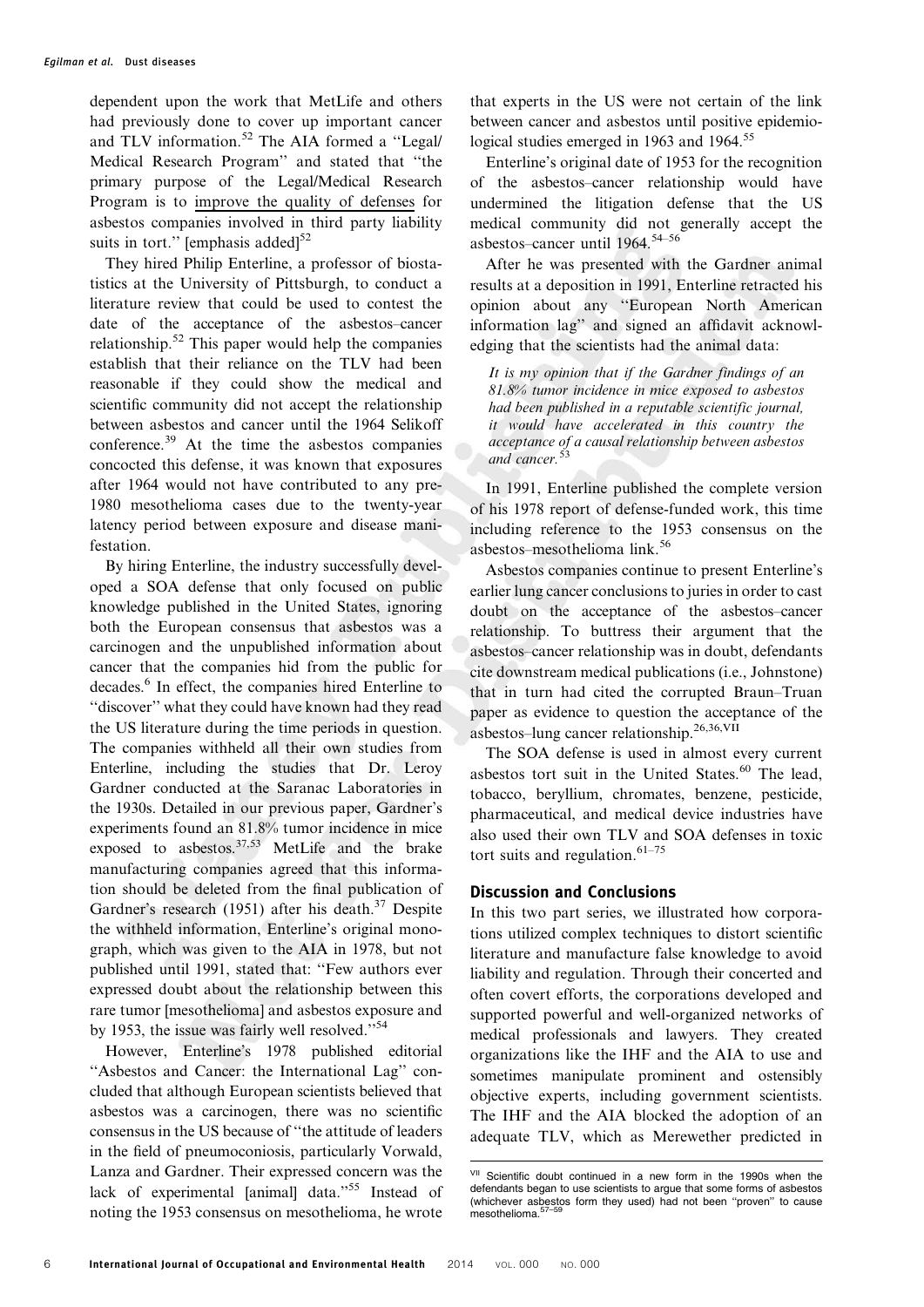dependent upon the work that MetLife and others had previously done to cover up important cancer and TLV information.<sup>52</sup> The AIA formed a "Legal/ Medical Research Program'' and stated that ''the primary purpose of the Legal/Medical Research Program is to improve the quality of defenses for asbestos companies involved in third party liability suits in tort." [emphasis added] $52$ 

They hired Philip Enterline, a professor of biostatistics at the University of Pittsburgh, to conduct a literature review that could be used to contest the date of the acceptance of the asbestos–cancer relationship.<sup>52</sup> This paper would help the companies establish that their reliance on the TLV had been reasonable if they could show the medical and scientific community did not accept the relationship between asbestos and cancer until the 1964 Selikoff conference.<sup>39</sup> At the time the asbestos companies concocted this defense, it was known that exposures after 1964 would not have contributed to any pre-1980 mesothelioma cases due to the twenty-year latency period between exposure and disease manifestation.

By hiring Enterline, the industry successfully developed a SOA defense that only focused on public knowledge published in the United States, ignoring both the European consensus that asbestos was a carcinogen and the unpublished information about cancer that the companies hid from the public for decades.<sup>6</sup> In effect, the companies hired Enterline to ''discover'' what they could have known had they read the US literature during the time periods in question. The companies withheld all their own studies from Enterline, including the studies that Dr. Leroy Gardner conducted at the Saranac Laboratories in the 1930s. Detailed in our previous paper, Gardner's experiments found an 81.8% tumor incidence in mice exposed to asbestos. $37,53$  MetLife and the brake manufacturing companies agreed that this information should be deleted from the final publication of Gardner's research (1951) after his death. $37$  Despite the withheld information, Enterline's original monograph, which was given to the AIA in 1978, but not published until 1991, stated that: ''Few authors ever expressed doubt about the relationship between this rare tumor [mesothelioma] and asbestos exposure and by 1953, the issue was fairly well resolved."<sup>54</sup>

However, Enterline's 1978 published editorial "Asbestos and Cancer: the International Lag" concluded that although European scientists believed that asbestos was a carcinogen, there was no scientific consensus in the US because of ''the attitude of leaders in the field of pneumoconiosis, particularly Vorwald, Lanza and Gardner. Their expressed concern was the lack of experimental [animal] data."<sup>55</sup> Instead of noting the 1953 consensus on mesothelioma, he wrote

that experts in the US were not certain of the link between cancer and asbestos until positive epidemiological studies emerged in 1963 and 1964.<sup>55</sup>

Enterline's original date of 1953 for the recognition of the asbestos–cancer relationship would have undermined the litigation defense that the US medical community did not generally accept the asbestos–cancer until 1964.<sup>54–56</sup>

After he was presented with the Gardner animal results at a deposition in 1991, Enterline retracted his opinion about any ''European North American information lag'' and signed an affidavit acknowledging that the scientists had the animal data:

It is my opinion that if the Gardner findings of an 81.8% tumor incidence in mice exposed to asbestos had been published in a reputable scientific journal, it would have accelerated in this country the acceptance of a causal relationship between asbestos and cancer.<sup>53</sup>

In 1991, Enterline published the complete version of his 1978 report of defense-funded work, this time including reference to the 1953 consensus on the asbestos-mesothelioma link.<sup>56</sup>

Asbestos companies continue to present Enterline's earlier lung cancer conclusions to juries in order to cast doubt on the acceptance of the asbestos–cancer relationship. To buttress their argument that the asbestos–cancer relationship was in doubt, defendants cite downstream medical publications (i.e., Johnstone) that in turn had cited the corrupted Braun–Truan paper as evidence to question the acceptance of the asbestos–lung cancer relationship.26,36,VII

The SOA defense is used in almost every current asbestos tort suit in the United States.<sup>60</sup> The lead, tobacco, beryllium, chromates, benzene, pesticide, pharmaceutical, and medical device industries have also used their own TLV and SOA defenses in toxic tort suits and regulation.  $61-75$ 

#### Discussion and Conclusions

In this two part series, we illustrated how corporations utilized complex techniques to distort scientific literature and manufacture false knowledge to avoid liability and regulation. Through their concerted and often covert efforts, the corporations developed and supported powerful and well-organized networks of medical professionals and lawyers. They created organizations like the IHF and the AIA to use and sometimes manipulate prominent and ostensibly objective experts, including government scientists. The IHF and the AIA blocked the adoption of an adequate TLV, which as Merewether predicted in

<sup>&</sup>lt;sup>VII</sup> Scientific doubt continued in a new form in the 1990s when the defendants began to use scientists to argue that some forms of asbestos (whichever asbestos form they used) had not been ''proven'' to cause mesothelioma.<sup>57</sup>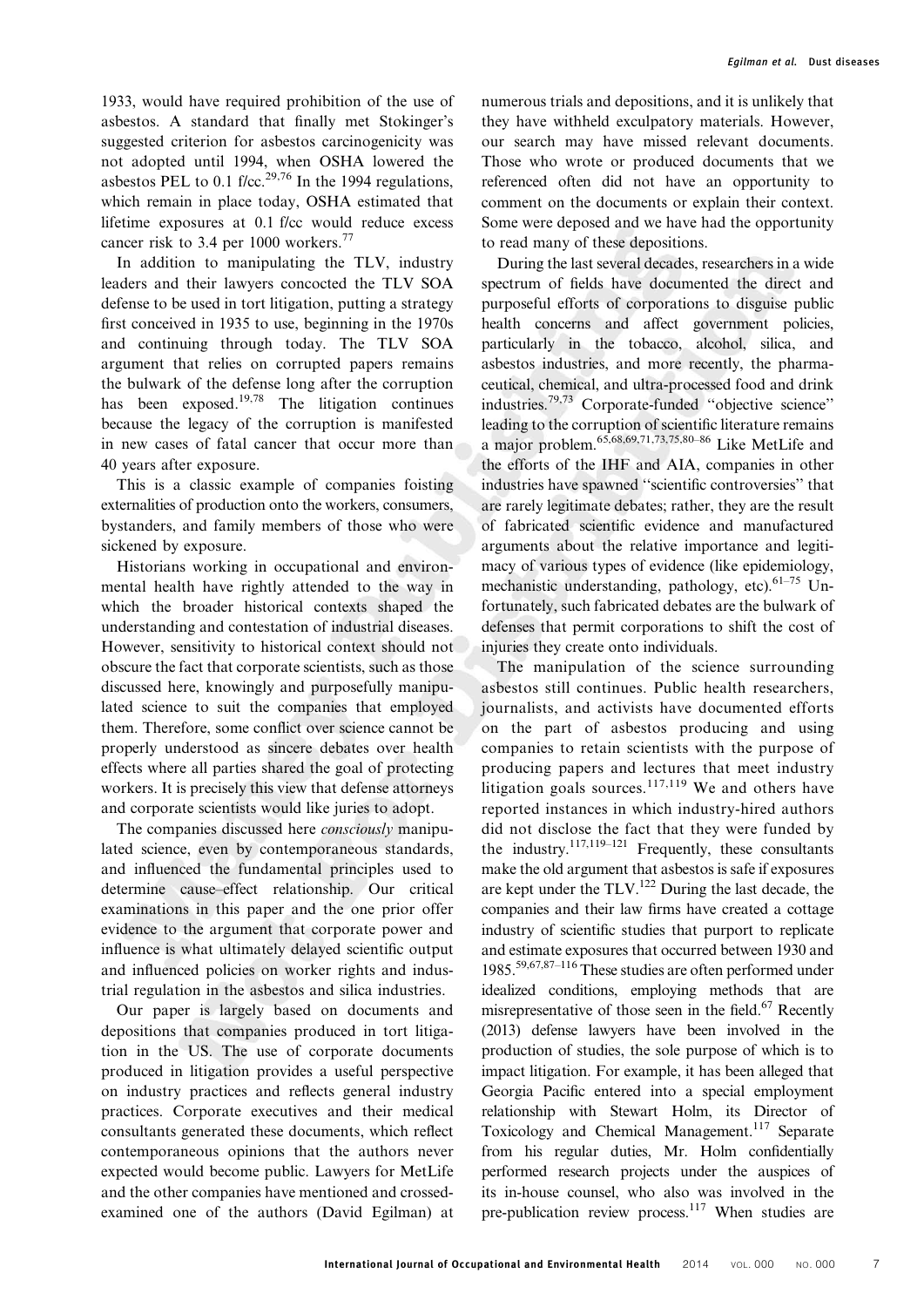1933, would have required prohibition of the use of asbestos. A standard that finally met Stokinger's suggested criterion for asbestos carcinogenicity was not adopted until 1994, when OSHA lowered the asbestos PEL to 0.1 f/cc.<sup>29,76</sup> In the 1994 regulations, which remain in place today, OSHA estimated that lifetime exposures at 0.1 f/cc would reduce excess cancer risk to 3.4 per 1000 workers.<sup>77</sup>

In addition to manipulating the TLV, industry leaders and their lawyers concocted the TLV SOA defense to be used in tort litigation, putting a strategy first conceived in 1935 to use, beginning in the 1970s and continuing through today. The TLV SOA argument that relies on corrupted papers remains the bulwark of the defense long after the corruption has been exposed.<sup>19,78</sup> The litigation continues because the legacy of the corruption is manifested in new cases of fatal cancer that occur more than 40 years after exposure.

This is a classic example of companies foisting externalities of production onto the workers, consumers, bystanders, and family members of those who were sickened by exposure.

Historians working in occupational and environmental health have rightly attended to the way in which the broader historical contexts shaped the understanding and contestation of industrial diseases. However, sensitivity to historical context should not obscure the fact that corporate scientists, such as those discussed here, knowingly and purposefully manipulated science to suit the companies that employed them. Therefore, some conflict over science cannot be properly understood as sincere debates over health effects where all parties shared the goal of protecting workers. It is precisely this view that defense attorneys and corporate scientists would like juries to adopt.

The companies discussed here consciously manipulated science, even by contemporaneous standards, and influenced the fundamental principles used to determine cause–effect relationship. Our critical examinations in this paper and the one prior offer evidence to the argument that corporate power and influence is what ultimately delayed scientific output and influenced policies on worker rights and industrial regulation in the asbestos and silica industries.

Our paper is largely based on documents and depositions that companies produced in tort litigation in the US. The use of corporate documents produced in litigation provides a useful perspective on industry practices and reflects general industry practices. Corporate executives and their medical consultants generated these documents, which reflect contemporaneous opinions that the authors never expected would become public. Lawyers for MetLife and the other companies have mentioned and crossedexamined one of the authors (David Egilman) at numerous trials and depositions, and it is unlikely that they have withheld exculpatory materials. However, our search may have missed relevant documents. Those who wrote or produced documents that we referenced often did not have an opportunity to comment on the documents or explain their context. Some were deposed and we have had the opportunity to read many of these depositions.

During the last several decades, researchers in a wide spectrum of fields have documented the direct and purposeful efforts of corporations to disguise public health concerns and affect government policies, particularly in the tobacco, alcohol, silica, and asbestos industries, and more recently, the pharmaceutical, chemical, and ultra-processed food and drink industries.79,73 Corporate-funded ''objective science'' leading to the corruption of scientific literature remains a major problem.65,68,69,71,73,75,80–86 Like MetLife and the efforts of the IHF and AIA, companies in other industries have spawned ''scientific controversies'' that are rarely legitimate debates; rather, they are the result of fabricated scientific evidence and manufactured arguments about the relative importance and legitimacy of various types of evidence (like epidemiology, mechanistic understanding, pathology, etc).  $61-75$  Unfortunately, such fabricated debates are the bulwark of defenses that permit corporations to shift the cost of injuries they create onto individuals.

The manipulation of the science surrounding asbestos still continues. Public health researchers, journalists, and activists have documented efforts on the part of asbestos producing and using companies to retain scientists with the purpose of producing papers and lectures that meet industry litigation goals sources. $117,119$  We and others have reported instances in which industry-hired authors did not disclose the fact that they were funded by the industry.<sup>117,119–121</sup> Frequently, these consultants make the old argument that asbestos is safe if exposures are kept under the TLV.122 During the last decade, the companies and their law firms have created a cottage industry of scientific studies that purport to replicate and estimate exposures that occurred between 1930 and 1985.59,67,87–116 These studies are often performed under idealized conditions, employing methods that are misrepresentative of those seen in the field. $67$  Recently (2013) defense lawyers have been involved in the production of studies, the sole purpose of which is to impact litigation. For example, it has been alleged that Georgia Pacific entered into a special employment relationship with Stewart Holm, its Director of Toxicology and Chemical Management.<sup>117</sup> Separate from his regular duties, Mr. Holm confidentially performed research projects under the auspices of its in-house counsel, who also was involved in the pre-publication review process.<sup>117</sup> When studies are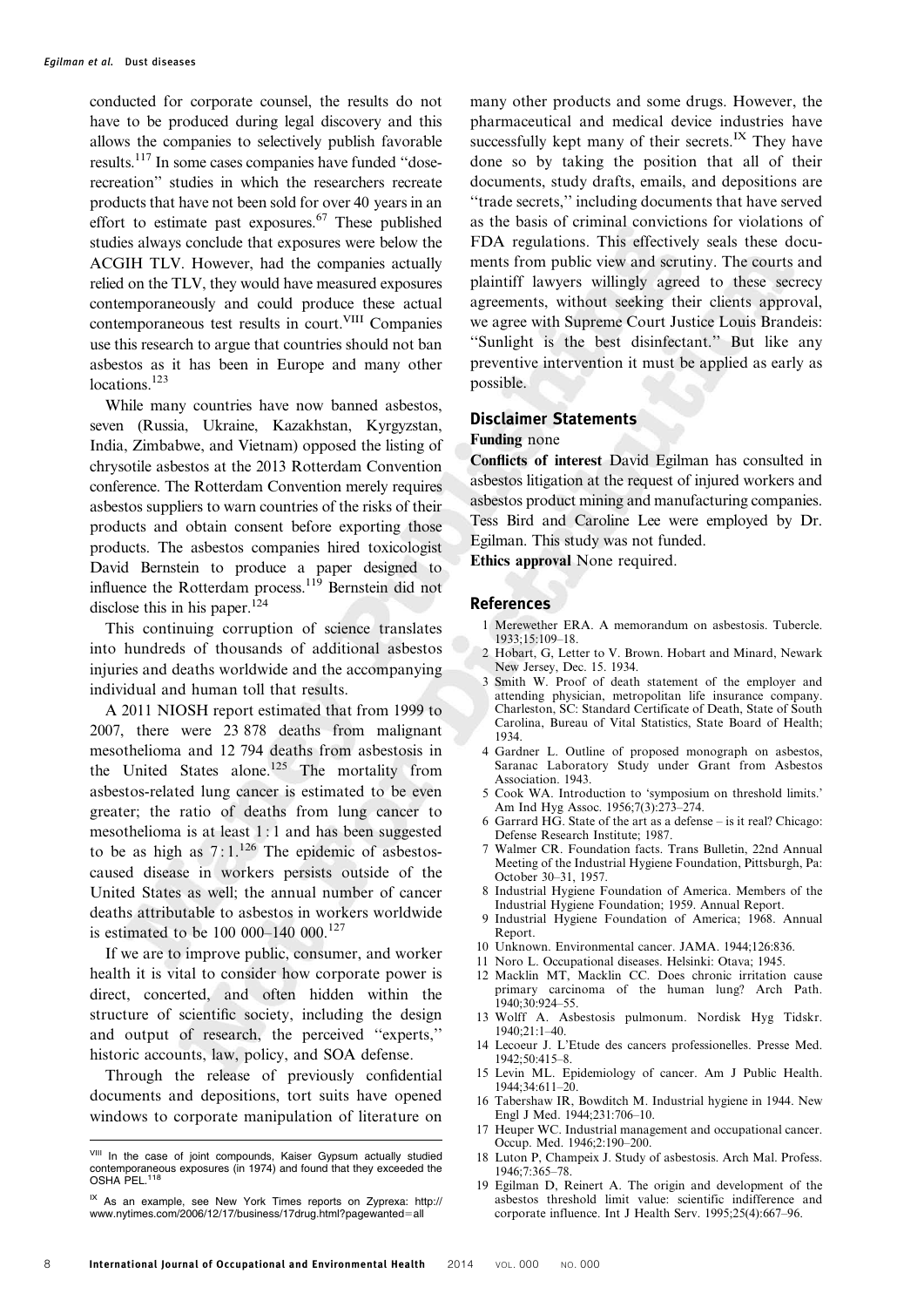conducted for corporate counsel, the results do not have to be produced during legal discovery and this allows the companies to selectively publish favorable results.117 In some cases companies have funded ''doserecreation'' studies in which the researchers recreate products that have not been sold for over 40 years in an effort to estimate past exposures. $67$  These published studies always conclude that exposures were below the ACGIH TLV. However, had the companies actually relied on the TLV, they would have measured exposures contemporaneously and could produce these actual contemporaneous test results in court.VIII Companies use this research to argue that countries should not ban asbestos as it has been in Europe and many other locations.<sup>123</sup>

While many countries have now banned asbestos, seven (Russia, Ukraine, Kazakhstan, Kyrgyzstan, India, Zimbabwe, and Vietnam) opposed the listing of chrysotile asbestos at the 2013 Rotterdam Convention conference. The Rotterdam Convention merely requires asbestos suppliers to warn countries of the risks of their products and obtain consent before exporting those products. The asbestos companies hired toxicologist David Bernstein to produce a paper designed to influence the Rotterdam process.<sup>119</sup> Bernstein did not disclose this in his paper. $124$ 

This continuing corruption of science translates into hundreds of thousands of additional asbestos injuries and deaths worldwide and the accompanying individual and human toll that results.

A 2011 NIOSH report estimated that from 1999 to 2007, there were 23 878 deaths from malignant mesothelioma and 12 794 deaths from asbestosis in the United States alone.<sup>125</sup> The mortality from asbestos-related lung cancer is estimated to be even greater; the ratio of deaths from lung cancer to mesothelioma is at least 1 : 1 and has been suggested to be as high as  $7:1.^{126}$  The epidemic of asbestoscaused disease in workers persists outside of the United States as well; the annual number of cancer deaths attributable to asbestos in workers worldwide is estimated to be 100 000-140 000.<sup>127</sup>

If we are to improve public, consumer, and worker health it is vital to consider how corporate power is direct, concerted, and often hidden within the structure of scientific society, including the design and output of research, the perceived ''experts,'' historic accounts, law, policy, and SOA defense.

Through the release of previously confidential documents and depositions, tort suits have opened windows to corporate manipulation of literature on

many other products and some drugs. However, the pharmaceutical and medical device industries have successfully kept many of their secrets.<sup>IX</sup> They have done so by taking the position that all of their documents, study drafts, emails, and depositions are ''trade secrets,'' including documents that have served as the basis of criminal convictions for violations of FDA regulations. This effectively seals these documents from public view and scrutiny. The courts and plaintiff lawyers willingly agreed to these secrecy agreements, without seeking their clients approval, we agree with Supreme Court Justice Louis Brandeis: ''Sunlight is the best disinfectant.'' But like any preventive intervention it must be applied as early as possible.

#### Disclaimer Statements

#### Funding none

Conflicts of interest David Egilman has consulted in asbestos litigation at the request of injured workers and asbestos product mining and manufacturing companies. Tess Bird and Caroline Lee were employed by Dr. Egilman. This study was not funded.

Ethics approval None required.

#### References

- 1 Merewether ERA. A memorandum on asbestosis. Tubercle. 1933;15:109–18.
- 2 Hobart, G, Letter to V. Brown. Hobart and Minard, Newark New Jersey, Dec. 15. 1934.
- 3 Smith W. Proof of death statement of the employer and attending physician, metropolitan life insurance company. Charleston, SC: Standard Certificate of Death, State of South Carolina, Bureau of Vital Statistics, State Board of Health; 1934.
- 4 Gardner L. Outline of proposed monograph on asbestos, Saranac Laboratory Study under Grant from Asbestos Association. 1943.
- 5 Cook WA. Introduction to 'symposium on threshold limits.' Am Ind Hyg Assoc. 1956;7(3):273–274.
- 6 Garrard HG. State of the art as a defense is it real? Chicago: Defense Research Institute; 1987.
- 7 Walmer CR. Foundation facts. Trans Bulletin, 22nd Annual Meeting of the Industrial Hygiene Foundation, Pittsburgh, Pa: October 30–31, 1957.
- 8 Industrial Hygiene Foundation of America. Members of the Industrial Hygiene Foundation; 1959. Annual Report.
- 9 Industrial Hygiene Foundation of America; 1968. Annual Report.
- 10 Unknown. Environmental cancer. JAMA. 1944;126:836.
- 11 Noro L. Occupational diseases. Helsinki: Otava; 1945.
- 12 Macklin MT, Macklin CC. Does chronic irritation cause primary carcinoma of the human lung? Arch Path. 1940;30:924–55.
- 13 Wolff A. Asbestosis pulmonum. Nordisk Hyg Tidskr. 1940;21:1–40.
- 14 Lecoeur J. L'Etude des cancers professionelles. Presse Med. 1942;50:415–8.
- 15 Levin ML. Epidemiology of cancer. Am J Public Health. 1944;34:611–20.
- 16 Tabershaw IR, Bowditch M. Industrial hygiene in 1944. New Engl J Med. 1944;231:706–10.
- 17 Heuper WC. Industrial management and occupational cancer. Occup. Med. 1946;2:190–200.
- 18 Luton P, Champeix J. Study of asbestosis. Arch Mal. Profess. 1946;7:365–78.
- 19 Egilman D, Reinert A. The origin and development of the asbestos threshold limit value: scientific indifference and corporate influence. Int J Health Serv. 1995;25(4):667–96.

VIII In the case of joint compounds, Kaiser Gypsum actually studied contemporaneous exposures (in 1974) and found that they exceeded the<br>OSHA PEL.<sup>118</sup>

IX As an example, see New York Times reports on Zyprexa: http:// www.nytimes.com/2006/12/17/business/17drug.html?pagewanted=all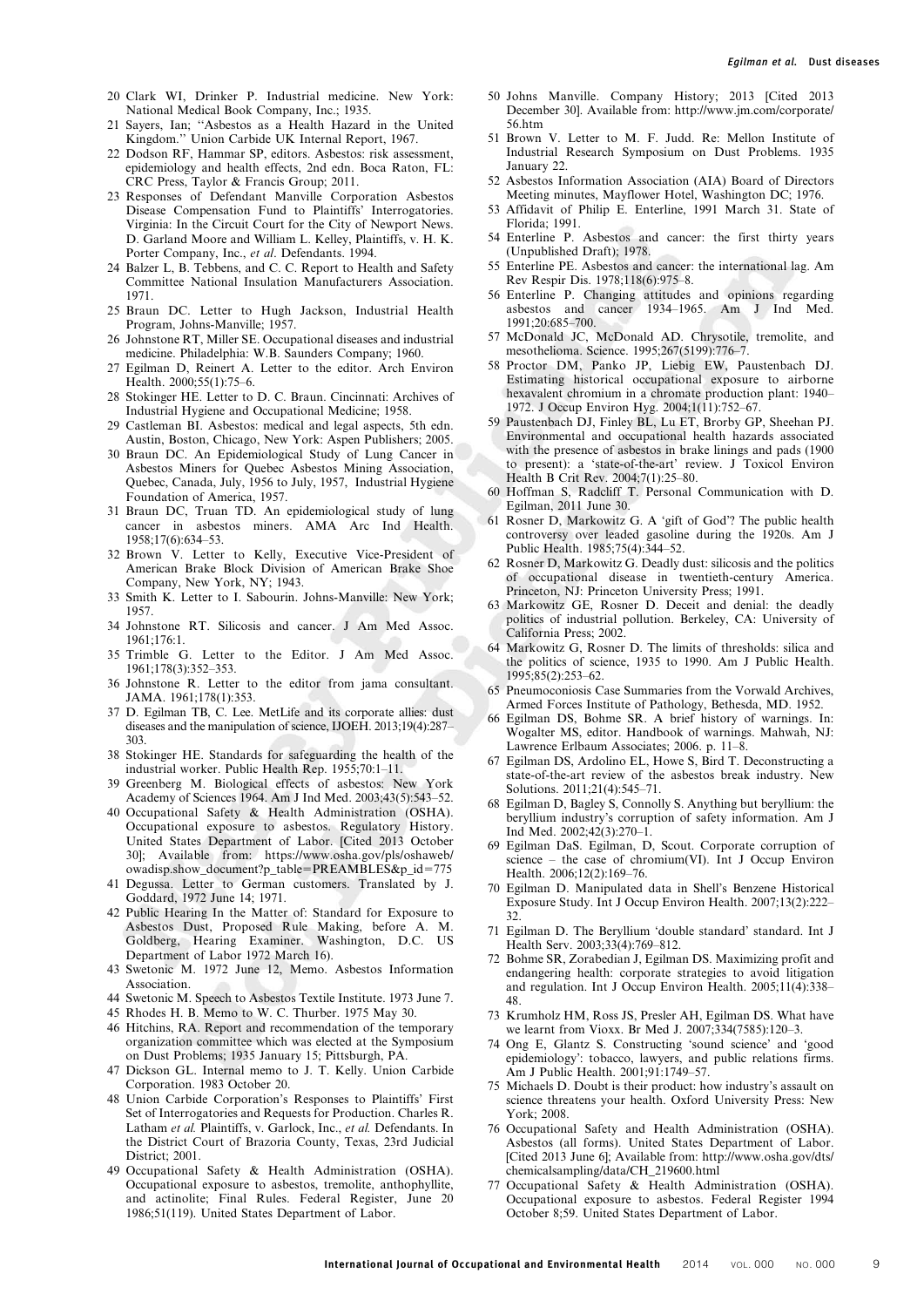- 20 Clark WI, Drinker P. Industrial medicine. New York: National Medical Book Company, Inc.; 1935.
- 21 Sayers, Ian; ''Asbestos as a Health Hazard in the United Kingdom.'' Union Carbide UK Internal Report, 1967.
- 22 Dodson RF, Hammar SP, editors. Asbestos: risk assessment, epidemiology and health effects, 2nd edn. Boca Raton, FL: CRC Press, Taylor & Francis Group; 2011.
- 23 Responses of Defendant Manville Corporation Asbestos Disease Compensation Fund to Plaintiffs' Interrogatories. Virginia: In the Circuit Court for the City of Newport News. D. Garland Moore and William L. Kelley, Plaintiffs, v. H. K. Porter Company, Inc., et al. Defendants. 1994.
- 24 Balzer L, B. Tebbens, and C. C. Report to Health and Safety Committee National Insulation Manufacturers Association. 1971.
- 25 Braun DC. Letter to Hugh Jackson, Industrial Health Program, Johns-Manville; 1957.
- 26 Johnstone RT, Miller SE. Occupational diseases and industrial medicine. Philadelphia: W.B. Saunders Company; 1960.
- 27 Egilman D, Reinert A. Letter to the editor. Arch Environ Health. 2000;55(1):75–6.
- 28 Stokinger HE. Letter to D. C. Braun. Cincinnati: Archives of Industrial Hygiene and Occupational Medicine; 1958.
- 29 Castleman BI. Asbestos: medical and legal aspects, 5th edn. Austin, Boston, Chicago, New York: Aspen Publishers; 2005.
- 30 Braun DC. An Epidemiological Study of Lung Cancer in Asbestos Miners for Quebec Asbestos Mining Association, Quebec, Canada, July, 1956 to July, 1957, Industrial Hygiene Foundation of America, 1957.
- 31 Braun DC, Truan TD. An epidemiological study of lung cancer in asbestos miners. AMA Arc Ind Health. 1958;17(6):634–53.
- 32 Brown V. Letter to Kelly, Executive Vice-President of American Brake Block Division of American Brake Shoe Company, New York, NY; 1943.
- 33 Smith K. Letter to I. Sabourin. Johns-Manville: New York; 1957.
- 34 Johnstone RT. Silicosis and cancer. J Am Med Assoc. 1961;176:1.
- 35 Trimble G. Letter to the Editor. J Am Med Assoc. 1961;178(3):352–353.
- 36 Johnstone R. Letter to the editor from jama consultant. JAMA. 1961;178(1):353.
- 37 D. Egilman TB, C. Lee. MetLife and its corporate allies: dust diseases and the manipulation of science, IJOEH. 2013;19(4):287– 303.
- 38 Stokinger HE. Standards for safeguarding the health of the industrial worker. Public Health Rep. 1955;70:1–11.
- 39 Greenberg M. Biological effects of asbestos: New York Academy of Sciences 1964. Am J Ind Med. 2003;43(5):543–52.
- 40 Occupational Safety & Health Administration (OSHA). Occupational exposure to asbestos. Regulatory History. United States Department of Labor. [Cited 2013 October 30]; Available from: https://www.osha.gov/pls/oshaweb/ owadisp.show\_document?p\_table=PREAMBLES&p\_id=775
- 41 Degussa. Letter to German customers. Translated by J. Goddard, 1972 June 14; 1971.
- 42 Public Hearing In the Matter of: Standard for Exposure to Asbestos Dust, Proposed Rule Making, before A. M. Goldberg, Hearing Examiner. Department of Labor 1972 March 16).
- 43 Swetonic M. 1972 June 12, Memo. Asbestos Information Association.
- 44 Swetonic M. Speech to Asbestos Textile Institute. 1973 June 7.
- 45 Rhodes H. B. Memo to W. C. Thurber. 1975 May 30.
- 46 Hitchins, RA. Report and recommendation of the temporary organization committee which was elected at the Symposium on Dust Problems; 1935 January 15; Pittsburgh, PA.
- 47 Dickson GL. Internal memo to J. T. Kelly. Union Carbide Corporation. 1983 October 20.
- 48 Union Carbide Corporation's Responses to Plaintiffs' First Set of Interrogatories and Requests for Production. Charles R. Latham et al. Plaintiffs, v. Garlock, Inc., et al. Defendants. In the District Court of Brazoria County, Texas, 23rd Judicial District; 2001.
- 49 Occupational Safety & Health Administration (OSHA). Occupational exposure to asbestos, tremolite, anthophyllite, and actinolite; Final Rules. Federal Register, June 20 1986;51(119). United States Department of Labor.
- 50 Johns Manville. Company History; 2013 [Cited 2013 December 30]. Available from: http://www.jm.com/corporate/ 56.htm
- 51 Brown V. Letter to M. F. Judd. Re: Mellon Institute of Industrial Research Symposium on Dust Problems. 1935 January 22.
- 52 Asbestos Information Association (AIA) Board of Directors Meeting minutes, Mayflower Hotel, Washington DC; 1976.
- 53 Affidavit of Philip E. Enterline, 1991 March 31. State of Florida; 1991.
- 54 Enterline P. Asbestos and cancer: the first thirty years (Unpublished Draft); 1978.
- 55 Enterline PE. Asbestos and cancer: the international lag. Am Rev Respir Dis. 1978;118(6):975–8.
- 56 Enterline P. Changing attitudes and opinions regarding asbestos and cancer 1934–1965. Am J Ind Med. 1991;20:685–700.
- 57 McDonald JC, McDonald AD. Chrysotile, tremolite, and mesothelioma. Science. 1995;267(5199):776–7.
- 58 Proctor DM, Panko JP, Liebig EW, Paustenbach DJ. Estimating historical occupational exposure to airborne hexavalent chromium in a chromate production plant: 1940– 1972. J Occup Environ Hyg. 2004;1(11):752–67.
- 59 Paustenbach DJ, Finley BL, Lu ET, Brorby GP, Sheehan PJ. Environmental and occupational health hazards associated with the presence of asbestos in brake linings and pads (1900 to present): a 'state-of-the-art' review. J Toxicol Environ Health B Crit Rev. 2004;7(1):25–80.
- 60 Hoffman S, Radcliff T. Personal Communication with D. Egilman, 2011 June 30.
- 61 Rosner D, Markowitz G. A 'gift of God'? The public health controversy over leaded gasoline during the 1920s. Am J Public Health. 1985;75(4):344–52.
- 62 Rosner D, Markowitz G. Deadly dust: silicosis and the politics of occupational disease in twentieth-century America. Princeton, NJ: Princeton University Press; 1991.
- 63 Markowitz GE, Rosner D. Deceit and denial: the deadly politics of industrial pollution. Berkeley, CA: University of California Press; 2002.
- 64 Markowitz G, Rosner D. The limits of thresholds: silica and the politics of science, 1935 to 1990. Am J Public Health. 1995;85(2):253–62.
- 65 Pneumoconiosis Case Summaries from the Vorwald Archives, Armed Forces Institute of Pathology, Bethesda, MD. 1952.
- Egilman DS, Bohme SR. A brief history of warnings. In: Wogalter MS, editor. Handbook of warnings. Mahwah, NJ: Lawrence Erlbaum Associates; 2006. p. 11–8.
- 67 Egilman DS, Ardolino EL, Howe S, Bird T. Deconstructing a state-of-the-art review of the asbestos break industry. New Solutions. 2011;21(4):545–71.
- 68 Egilman D, Bagley S, Connolly S. Anything but beryllium: the beryllium industry's corruption of safety information. Am J Ind Med. 2002;42(3):270–1.
- 69 Egilman DaS. Egilman, D, Scout. Corporate corruption of science – the case of chromium(VI). Int J Occup Environ Health. 2006;12(2):169–76.
- 70 Egilman D. Manipulated data in Shell's Benzene Historical Exposure Study. Int J Occup Environ Health. 2007;13(2):222– 32.
- 71 Egilman D. The Beryllium 'double standard' standard. Int J Health Serv. 2003;33(4):769–812.
- 72 Bohme SR, Zorabedian J, Egilman DS. Maximizing profit and endangering health: corporate strategies to avoid litigation and regulation. Int J Occup Environ Health. 2005;11(4):338– 48.
- 73 Krumholz HM, Ross JS, Presler AH, Egilman DS. What have we learnt from Vioxx. Br Med J. 2007;334(7585):120–3.
- 74 Ong E, Glantz S. Constructing 'sound science' and 'good epidemiology': tobacco, lawyers, and public relations firms. Am J Public Health. 2001;91:1749–57.
- 75 Michaels D. Doubt is their product: how industry's assault on science threatens your health. Oxford University Press: New York; 2008.
- 76 Occupational Safety and Health Administration (OSHA). Asbestos (all forms). United States Department of Labor. [Cited 2013 June 6]; Available from: http://www.osha.gov/dts/ chemicalsampling/data/CH\_219600.html
- 77 Occupational Safety & Health Administration (OSHA). Occupational exposure to asbestos. Federal Register 1994 October 8;59. United States Department of Labor.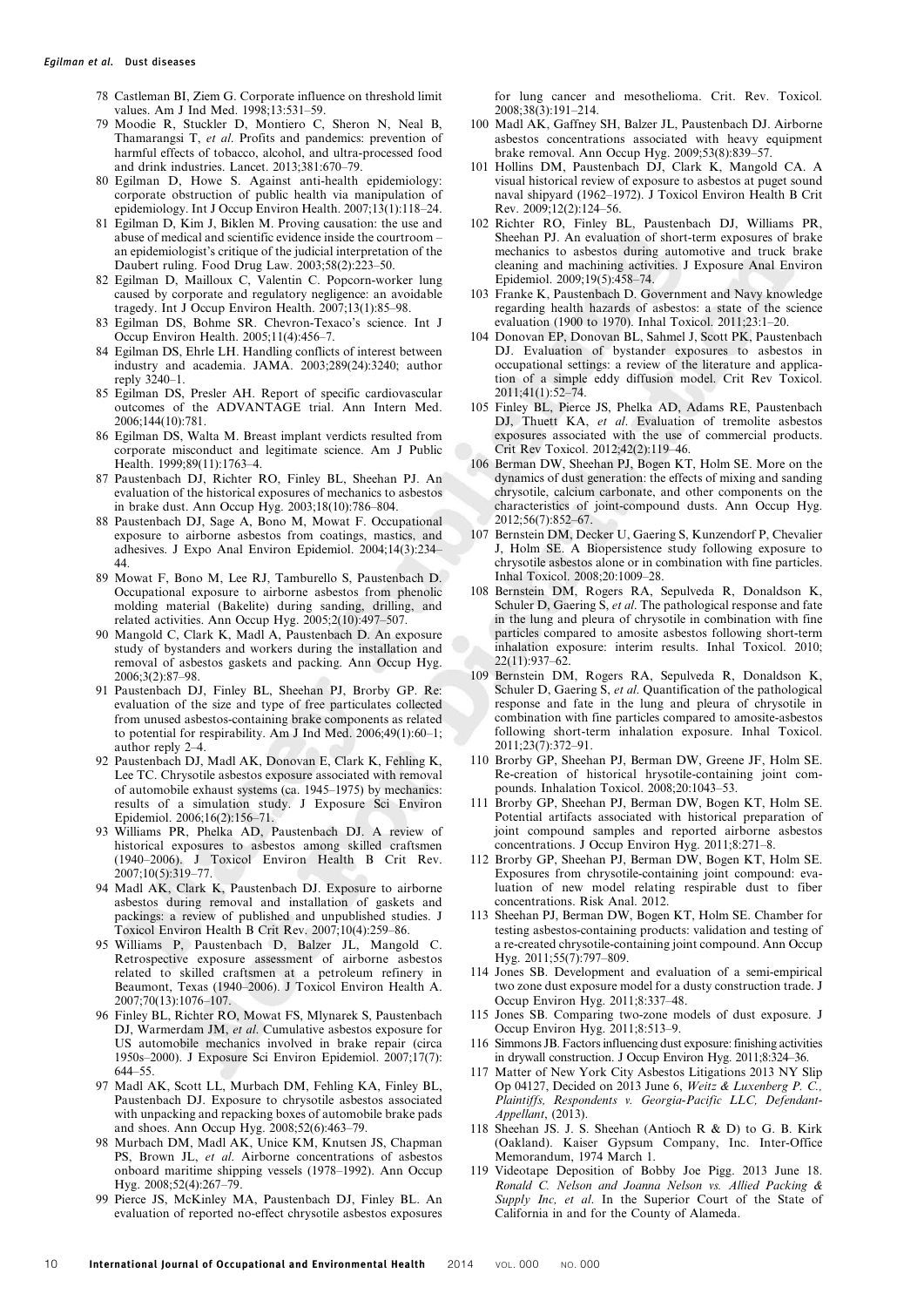- 78 Castleman BI, Ziem G. Corporate influence on threshold limit values. Am J Ind Med. 1998;13:531–59.
- 79 Moodie R, Stuckler D, Montiero C, Sheron N, Neal B, Thamarangsi T, et al. Profits and pandemics: prevention of harmful effects of tobacco, alcohol, and ultra-processed food and drink industries. Lancet. 2013;381:670–79.
- 80 Egilman D, Howe S. Against anti-health epidemiology: corporate obstruction of public health via manipulation of epidemiology. Int J Occup Environ Health. 2007;13(1):118–24.
- 81 Egilman D, Kim J, Biklen M. Proving causation: the use and abuse of medical and scientific evidence inside the courtroom – an epidemiologist's critique of the judicial interpretation of the Daubert ruling. Food Drug Law. 2003;58(2):223–50.
- 82 Egilman D, Mailloux C, Valentin C. Popcorn-worker lung caused by corporate and regulatory negligence: an avoidable tragedy. Int J Occup Environ Health. 2007;13(1):85–98.
- 83 Egilman DS, Bohme SR. Chevron-Texaco's science. Int J Occup Environ Health. 2005;11(4):456–7.
- 84 Egilman DS, Ehrle LH. Handling conflicts of interest between industry and academia. JAMA. 2003;289(24):3240; author reply 3240–1.
- 85 Egilman DS, Presler AH. Report of specific cardiovascular outcomes of the ADVANTAGE trial. Ann Intern Med. 2006;144(10):781.
- 86 Egilman DS, Walta M. Breast implant verdicts resulted from corporate misconduct and legitimate science. Am J Public Health. 1999;89(11):1763–4.
- 87 Paustenbach DJ, Richter RO, Finley BL, Sheehan PJ. An evaluation of the historical exposures of mechanics to asbestos in brake dust. Ann Occup Hyg. 2003;18(10):786–804.
- 88 Paustenbach DJ, Sage A, Bono M, Mowat F. Occupational exposure to airborne asbestos from coatings, mastics, and adhesives. J Expo Anal Environ Epidemiol. 2004;14(3):234– 44.
- 89 Mowat F, Bono M, Lee RJ, Tamburello S, Paustenbach D. Occupational exposure to airborne asbestos from phenolic molding material (Bakelite) during sanding, drilling, and related activities. Ann Occup Hyg. 2005;2(10):497–507.
- 90 Mangold C, Clark K, Madl A, Paustenbach D. An exposure study of bystanders and workers during the installation and removal of asbestos gaskets and packing. Ann Occup Hyg. 2006;3(2):87–98.
- 91 Paustenbach DJ, Finley BL, Sheehan PJ, Brorby GP. Re: evaluation of the size and type of free particulates collected from unused asbestos-containing brake components as related to potential for respirability. Am J Ind Med. 2006;49(1):60–1; author reply 2–4.
- 92 Paustenbach DJ, Madl AK, Donovan E, Clark K, Fehling K, Lee TC. Chrysotile asbestos exposure associated with removal of automobile exhaust systems (ca. 1945–1975) by mechanics: results of a simulation study. J Exposure Sci Environ Epidemiol. 2006;16(2):156–71.
- 93 Williams PR, Phelka AD, Paustenbach DJ. A review of historical exposures to asbestos among skilled craftsmen (1940–2006). J Toxicol Environ Health B Crit Rev. 2007;10(5):319–77.
- 94 Madl AK, Clark K, Paustenbach DJ. Exposure to airborne asbestos during removal and installation of gaskets and packings: a review of published and unpublished studies. J Toxicol Environ Health B Crit Rev. 2007;10(4):259–86.
- 95 Williams P, Paustenbach D, Balzer JL, Mangold C. Retrospective exposure assessment of airborne asbestos related to skilled craftsmen at a petroleum refinery in Beaumont, Texas (1940–2006). J Toxicol Environ Health A. 2007;70(13):1076–107.
- 96 Finley BL, Richter RO, Mowat FS, Mlynarek S, Paustenbach DJ, Warmerdam JM, et al. Cumulative asbestos exposure for US automobile mechanics involved in brake repair (circa 1950s–2000). J Exposure Sci Environ Epidemiol. 2007;17(7): 644–55.
- 97 Madl AK, Scott LL, Murbach DM, Fehling KA, Finley BL, Paustenbach DJ. Exposure to chrysotile asbestos associated with unpacking and repacking boxes of automobile brake pads and shoes. Ann Occup Hyg. 2008;52(6):463–79.
- 98 Murbach DM, Madl AK, Unice KM, Knutsen JS, Chapman PS, Brown JL, et al. Airborne concentrations of asbestos onboard maritime shipping vessels (1978–1992). Ann Occup Hyg. 2008;52(4):267–79.
- 99 Pierce JS, McKinley MA, Paustenbach DJ, Finley BL. An evaluation of reported no-effect chrysotile asbestos exposures

for lung cancer and mesothelioma. Crit. Rev. Toxicol. 2008;38(3):191–214.

- 100 Madl AK, Gaffney SH, Balzer JL, Paustenbach DJ. Airborne asbestos concentrations associated with heavy equipment brake removal. Ann Occup Hyg. 2009;53(8):839–57.
- 101 Hollins DM, Paustenbach DJ, Clark K, Mangold CA. A visual historical review of exposure to asbestos at puget sound naval shipyard (1962–1972). J Toxicol Environ Health B Crit Rev. 2009;12(2):124–56.
- 102 Richter RO, Finley BL, Paustenbach DJ, Williams PR, Sheehan PJ. An evaluation of short-term exposures of brake mechanics to asbestos during automotive and truck brake cleaning and machining activities. J Exposure Anal Environ Epidemiol. 2009;19(5):458–74.
- 103 Franke K, Paustenbach D. Government and Navy knowledge regarding health hazards of asbestos: a state of the science evaluation (1900 to 1970). Inhal Toxicol. 2011;23:1–20.
- 104 Donovan EP, Donovan BL, Sahmel J, Scott PK, Paustenbach DJ. Evaluation of bystander exposures to asbestos in occupational settings: a review of the literature and application of a simple eddy diffusion model. Crit Rev Toxicol. 2011;41(1):52–74.
- 105 Finley BL, Pierce JS, Phelka AD, Adams RE, Paustenbach DJ, Thuett KA, et al. Evaluation of tremolite asbestos exposures associated with the use of commercial products. Crit Rev Toxicol. 2012;42(2):119–46.
- 106 Berman DW, Sheehan PJ, Bogen KT, Holm SE. More on the dynamics of dust generation: the effects of mixing and sanding chrysotile, calcium carbonate, and other components on the characteristics of joint-compound dusts. Ann Occup Hyg. 2012;56(7):852–67.
- 107 Bernstein DM, Decker U, Gaering S, Kunzendorf P, Chevalier J, Holm SE. A Biopersistence study following exposure to chrysotile asbestos alone or in combination with fine particles. Inhal Toxicol. 2008;20:1009–28.
- 108 Bernstein DM, Rogers RA, Sepulveda R, Donaldson K, Schuler D, Gaering S, et al. The pathological response and fate in the lung and pleura of chrysotile in combination with fine particles compared to amosite asbestos following short-term inhalation exposure: interim results. Inhal Toxicol. 2010; 22(11):937–62.
- 109 Bernstein DM, Rogers RA, Sepulveda R, Donaldson K, Schuler D, Gaering S, et al. Quantification of the pathological response and fate in the lung and pleura of chrysotile in combination with fine particles compared to amosite-asbestos following short-term inhalation exposure. Inhal Toxicol. 2011;23(7):372–91.
- 110 Brorby GP, Sheehan PJ, Berman DW, Greene JF, Holm SE. Re-creation of historical hrysotile-containing joint compounds. Inhalation Toxicol. 2008;20:1043–53.
- 111 Brorby GP, Sheehan PJ, Berman DW, Bogen KT, Holm SE. Potential artifacts associated with historical preparation of joint compound samples and reported airborne asbestos concentrations. J Occup Environ Hyg. 2011;8:271–8.
- 112 Brorby GP, Sheehan PJ, Berman DW, Bogen KT, Holm SE. Exposures from chrysotile-containing joint compound: evaluation of new model relating respirable dust to fiber concentrations. Risk Anal. 2012.
- 113 Sheehan PJ, Berman DW, Bogen KT, Holm SE. Chamber for testing asbestos-containing products: validation and testing of a re-created chrysotile-containing joint compound. Ann Occup Hyg. 2011;55(7):797–809.
- 114 Jones SB. Development and evaluation of a semi-empirical two zone dust exposure model for a dusty construction trade. J Occup Environ Hyg. 2011;8:337–48.
- 115 Jones SB. Comparing two-zone models of dust exposure. J Occup Environ Hyg. 2011;8:513–9.
- 116 Simmons JB. Factors influencing dust exposure: finishing activities in drywall construction. J Occup Environ Hyg. 2011;8:324–36.
- 117 Matter of New York City Asbestos Litigations 2013 NY Slip Op 04127, Decided on 2013 June 6, Weitz & Luxenberg P. C., Plaintiffs, Respondents v. Georgia-Pacific LLC, Defendant-Appellant, (2013).
- 118 Sheehan JS. J. S. Sheehan (Antioch R & D) to G. B. Kirk (Oakland). Kaiser Gypsum Company, Inc. Inter-Office Memorandum, 1974 March 1.
- 119 Videotape Deposition of Bobby Joe Pigg. 2013 June 18. Ronald C. Nelson and Joanna Nelson vs. Allied Packing & Supply Inc, et al. In the Superior Court of the State of California in and for the County of Alameda.